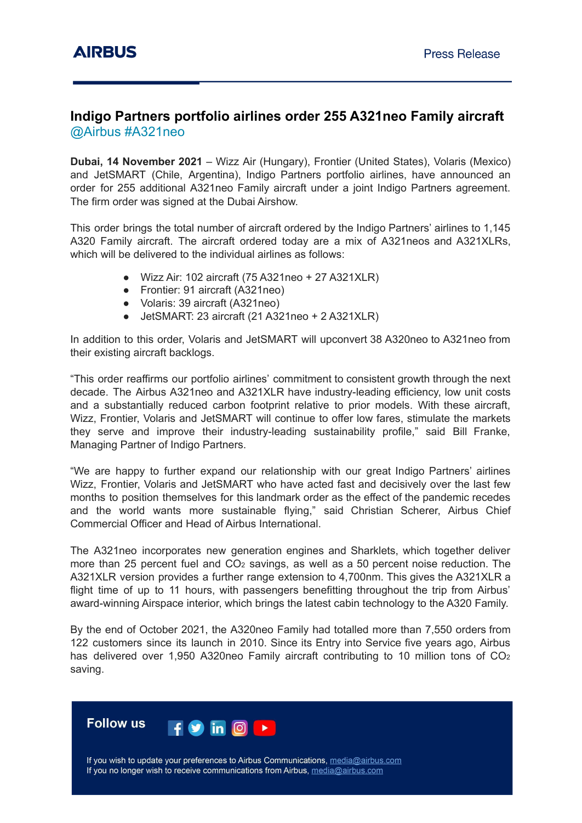## **Indigo Partners portfolio airlines order 255 A321neo Family aircraft** @Airbus #A321neo

**Dubai, 14 November 2021** – Wizz Air (Hungary), Frontier (United States), Volaris (Mexico) and JetSMART (Chile, Argentina), Indigo Partners portfolio airlines, have announced an order for 255 additional A321neo Family aircraft under a joint Indigo Partners agreement. The firm order was signed at the Dubai Airshow.

This order brings the total number of aircraft ordered by the Indigo Partners' airlines to 1,145 A320 Family aircraft. The aircraft ordered today are a mix of A321neos and A321XLRs, which will be delivered to the individual airlines as follows:

- Wizz Air: 102 aircraft (75 A321neo + 27 A321XLR)
- Frontier: 91 aircraft (A321neo)
- Volaris: 39 aircraft (A321neo)
- JetSMART: 23 aircraft (21 A321neo + 2 A321XLR)

In addition to this order, Volaris and JetSMART will upconvert 38 A320neo to A321neo from their existing aircraft backlogs.

"This order reaffirms our portfolio airlines' commitment to consistent growth through the next decade. The Airbus A321neo and A321XLR have industry-leading efficiency, low unit costs and a substantially reduced carbon footprint relative to prior models. With these aircraft, Wizz, Frontier, Volaris and JetSMART will continue to offer low fares, stimulate the markets they serve and improve their industry-leading sustainability profile," said Bill Franke, Managing Partner of Indigo Partners.

"We are happy to further expand our relationship with our great Indigo Partners' airlines Wizz, Frontier, Volaris and JetSMART who have acted fast and decisively over the last few months to position themselves for this landmark order as the effect of the pandemic recedes and the world wants more sustainable flying," said Christian Scherer, Airbus Chief Commercial Officer and Head of Airbus International.

The A321neo incorporates new generation engines and Sharklets, which together deliver more than 25 percent fuel and CO<sub>2</sub> savings, as well as a 50 percent noise reduction. The A321XLR version provides a further range extension to 4,700nm. This gives the A321XLR a flight time of up to 11 hours, with passengers benefitting throughout the trip from Airbus' award-winning Airspace interior, which brings the latest cabin technology to the A320 Family.

By the end of October 2021, the A320neo Family had totalled more than 7,550 orders from 122 customers since its launch in 2010. Since its Entry into Service five years ago, Airbus has delivered over 1,950 A320neo Family aircraft contributing to 10 million tons of CO<sub>2</sub> saving.